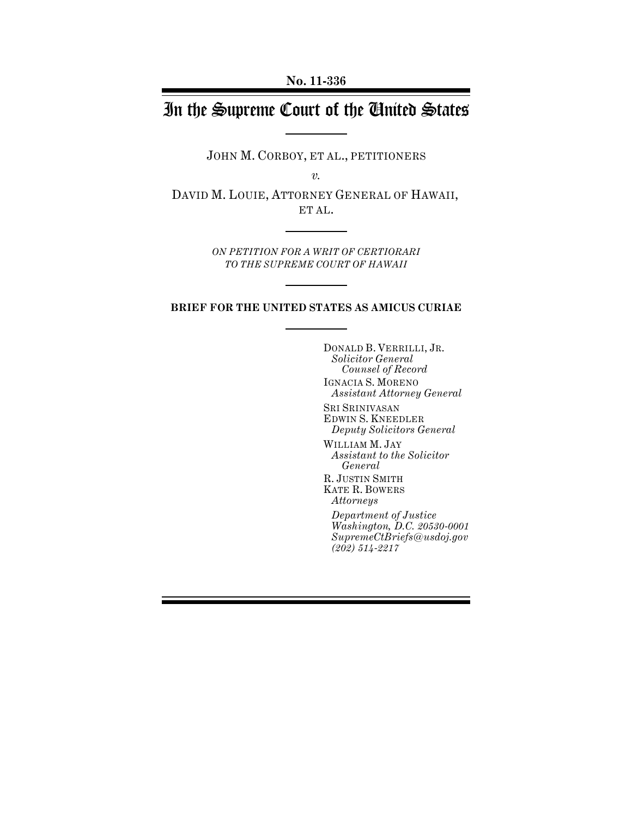# In the Supreme Court of the United States

JOHN M. CORBOY, ET AL., PETITIONERS

*v.*

DAVID M. LOUIE, ATTORNEY GENERAL OF HAWAII, ET AL.

> *ON PETITION FOR A WRIT OF CERTIORARI TO THE SUPREME COURT OF HAWAII*

#### **BRIEF FOR THE UNITED STATES AS AMICUS CURIAE**

DONALD B. VERRILLI, JR. *Solicitor General Counsel of Record* IGNACIA S. MORENO *Assistant Attorney General* SRI SRINIVASAN EDWIN S. KNEEDLER *Deputy Solicitors General*  WILLIAM M. JAY *Assistant to the Solicitor General*  R. JUSTIN SMITH KATE R. BOWERS *Attorneys Department of Justice Washington, D.C. 20530-0001 SupremeCtBriefs@usdoj.gov (202) 514-2217*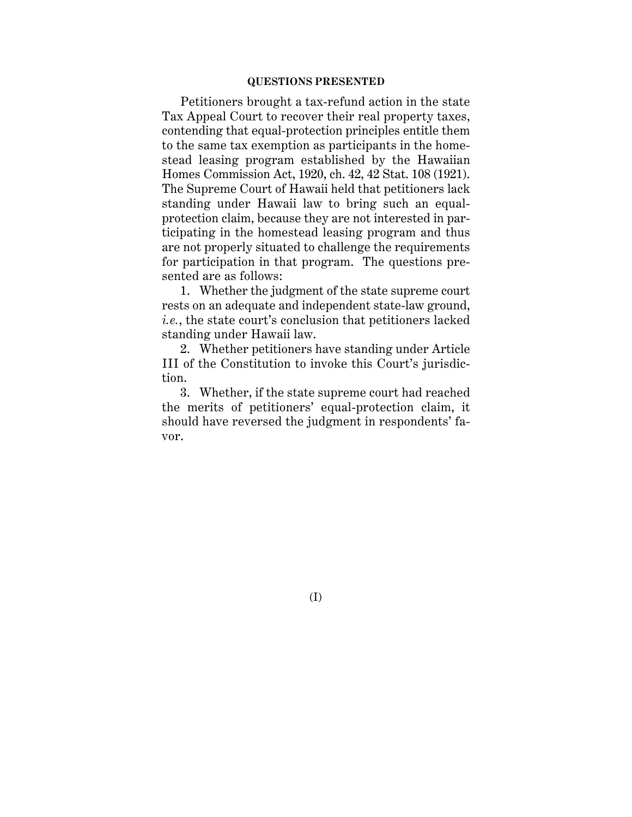#### **QUESTIONS PRESENTED**

Petitioners brought a tax-refund action in the state Tax Appeal Court to recover their real property taxes, contending that equal-protection principles entitle them to the same tax exemption as participants in the homestead leasing program established by the Hawaiian Homes Commission Act, 1920, ch. 42, 42 Stat. 108 (1921). The Supreme Court of Hawaii held that petitioners lack standing under Hawaii law to bring such an equalprotection claim, because they are not interested in participating in the homestead leasing program and thus are not properly situated to challenge the requirements for participation in that program. The questions presented are as follows:

1. Whether the judgment of the state supreme court rests on an adequate and independent state-law ground, *i.e.*, the state court's conclusion that petitioners lacked standing under Hawaii law.

2. Whether petitioners have standing under Article III of the Constitution to invoke this Court's jurisdiction.

3. Whether, if the state supreme court had reached the merits of petitioners' equal-protection claim, it should have reversed the judgment in respondents' favor.

(I)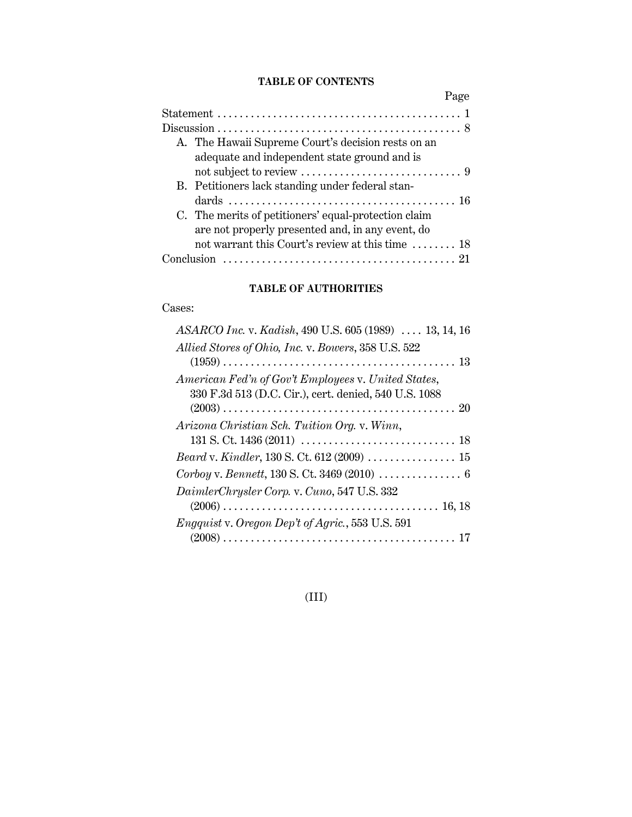## **TABLE OF CONTENTS**

| Page                                                                                               |
|----------------------------------------------------------------------------------------------------|
|                                                                                                    |
|                                                                                                    |
| A. The Hawaii Supreme Court's decision rests on an<br>adequate and independent state ground and is |
|                                                                                                    |
| B. Petitioners lack standing under federal stan-                                                   |
|                                                                                                    |
| C. The merits of petitioners' equal-protection claim                                               |
| are not properly presented and, in any event, do                                                   |
| not warrant this Court's review at this time $\dots \dots$ 18                                      |
|                                                                                                    |

## **TABLE OF AUTHORITIES**

## Cases:

| ASARCO Inc. v. Kadish, 490 U.S. 605 (1989)  13, 14, 16                           |
|----------------------------------------------------------------------------------|
| Allied Stores of Ohio, Inc. v. Bowers, 358 U.S. 522                              |
|                                                                                  |
| American Fed'n of Gov't Employees v. United States,                              |
| 330 F.3d 513 (D.C. Cir.), cert. denied, 540 U.S. 1088                            |
|                                                                                  |
| Arizona Christian Sch. Tuition Org. v. Winn,                                     |
|                                                                                  |
| Beard v. Kindler, 130 S. Ct. 612 (2009)  15                                      |
| Corboy v. Bennett, 130 S. Ct. 3469 (2010) $\ldots \ldots \ldots \ldots \ldots$ 6 |
| DaimlerChrysler Corp. v. Cuno, 547 U.S. 332                                      |
|                                                                                  |
| <i>Engquist</i> v. Oregon Dep't of Agric., 553 U.S. 591                          |
|                                                                                  |
|                                                                                  |

## (III)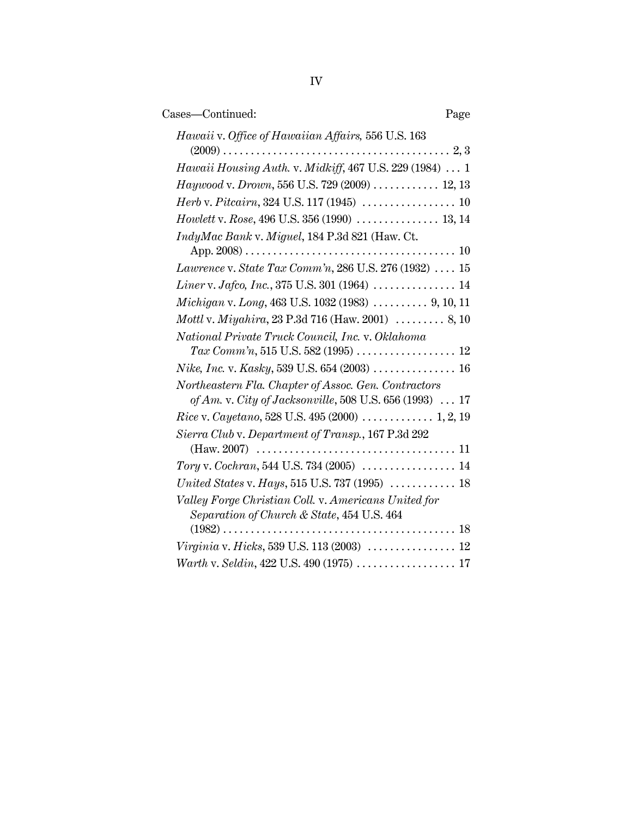| Cases-Continued:<br>Page                                                                           |  |
|----------------------------------------------------------------------------------------------------|--|
| Hawaii v. Office of Hawaiian Affairs, 556 U.S. 163                                                 |  |
| <i>Hawaii Housing Auth. v. Midkiff, 467 U.S. 229 (1984)  1</i>                                     |  |
| <i>Haywood v. Drown</i> , 556 U.S. 729 (2009)  12, 13                                              |  |
|                                                                                                    |  |
| Howlett v. Rose, 496 U.S. 356 (1990)  13, 14                                                       |  |
| IndyMac Bank v. Miguel, 184 P.3d 821 (Haw. Ct.                                                     |  |
|                                                                                                    |  |
| <i>Lawrence</i> v. <i>State Tax Comm'n</i> , 286 U.S. 276 (1932) $\ldots$ 15                       |  |
|                                                                                                    |  |
| Michigan v. Long, 463 U.S. 1032 (1983) $\ldots$ 9, 10, 11                                          |  |
| <i>Mottl</i> v. <i>Miyahira</i> , 23 P.3d 716 (Haw. 2001) $\ldots \ldots \ldots$ 8, 10             |  |
| National Private Truck Council, Inc. v. Oklahoma                                                   |  |
|                                                                                                    |  |
| <i>Nike, Inc.</i> v. <i>Kasky</i> , 539 U.S. 654 (2003) 16                                         |  |
| Northeastern Fla. Chapter of Assoc. Gen. Contractors                                               |  |
| of Am. v. City of Jacksonville, 508 U.S. 656 (1993) $\ldots$ 17                                    |  |
|                                                                                                    |  |
| Sierra Club v. Department of Transp., 167 P.3d 292                                                 |  |
|                                                                                                    |  |
|                                                                                                    |  |
| United States v. Hays, 515 U.S. 737 (1995)  18                                                     |  |
| Valley Forge Christian Coll. v. Americans United for<br>Separation of Church & State, 454 U.S. 464 |  |
|                                                                                                    |  |
|                                                                                                    |  |
| Warth v. Seldin, 422 U.S. 490 (1975)  17                                                           |  |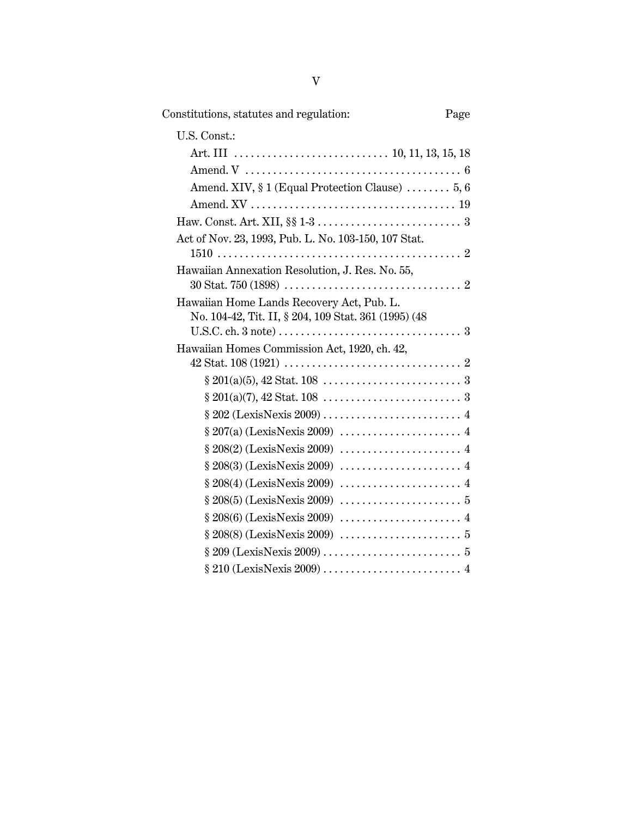| Constitutions, statutes and regulation:                                                             | Page |
|-----------------------------------------------------------------------------------------------------|------|
| U.S. Const.:                                                                                        |      |
|                                                                                                     |      |
|                                                                                                     |      |
| Amend. XIV, § 1 (Equal Protection Clause)  5, 6                                                     |      |
|                                                                                                     |      |
|                                                                                                     |      |
| Act of Nov. 23, 1993, Pub. L. No. 103-150, 107 Stat.                                                |      |
|                                                                                                     |      |
| Hawaiian Annexation Resolution, J. Res. No. 55,                                                     |      |
|                                                                                                     |      |
| Hawaiian Home Lands Recovery Act, Pub. L.                                                           |      |
| No. 104-42, Tit. II, § 204, 109 Stat. 361 (1995) (48                                                |      |
| Hawaiian Homes Commission Act, 1920, ch. 42,                                                        |      |
|                                                                                                     |      |
| $\S 201(a)(5), 42 \text{ Stat. } 108 \dots \dots \dots \dots \dots \dots \dots \dots \dots \dots 3$ |      |
| $§ 201(a)(7), 42 \text{ Stat. } 108 \dots \dots \dots \dots \dots \dots \dots \dots 3$              |      |
|                                                                                                     |      |
|                                                                                                     |      |
|                                                                                                     |      |
|                                                                                                     |      |
|                                                                                                     |      |
|                                                                                                     |      |
|                                                                                                     |      |
|                                                                                                     |      |
|                                                                                                     |      |
|                                                                                                     |      |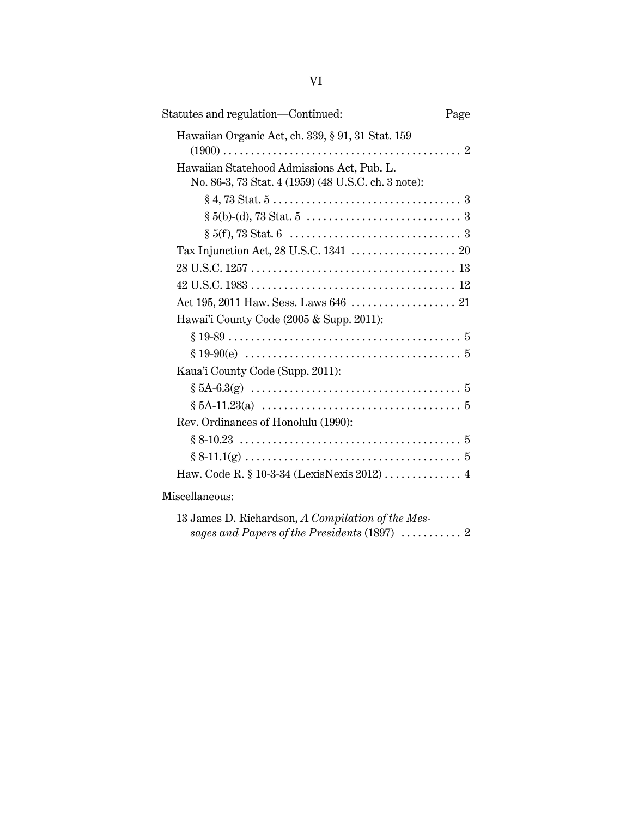| Statutes and regulation—Continued:                                                                | Page |
|---------------------------------------------------------------------------------------------------|------|
| Hawaiian Organic Act, ch. 339, § 91, 31 Stat. 159                                                 |      |
| Hawaiian Statehood Admissions Act, Pub. L.<br>No. 86-3, 73 Stat. 4 (1959) (48 U.S.C. ch. 3 note): |      |
|                                                                                                   |      |
|                                                                                                   |      |
|                                                                                                   |      |
|                                                                                                   |      |
|                                                                                                   |      |
|                                                                                                   |      |
|                                                                                                   |      |
| Hawai'i County Code (2005 & Supp. 2011):                                                          |      |
|                                                                                                   |      |
|                                                                                                   |      |
| Kaua'i County Code (Supp. 2011):                                                                  |      |
|                                                                                                   |      |
|                                                                                                   |      |
| Rev. Ordinances of Honolulu (1990):                                                               |      |
|                                                                                                   |      |
|                                                                                                   |      |
|                                                                                                   |      |
| Miscellaneous:                                                                                    |      |

| 13 James D. Richardson, A Compilation of the Mes-                  |  |
|--------------------------------------------------------------------|--|
| sages and Papers of the Presidents (1897) $\ldots \ldots \ldots 2$ |  |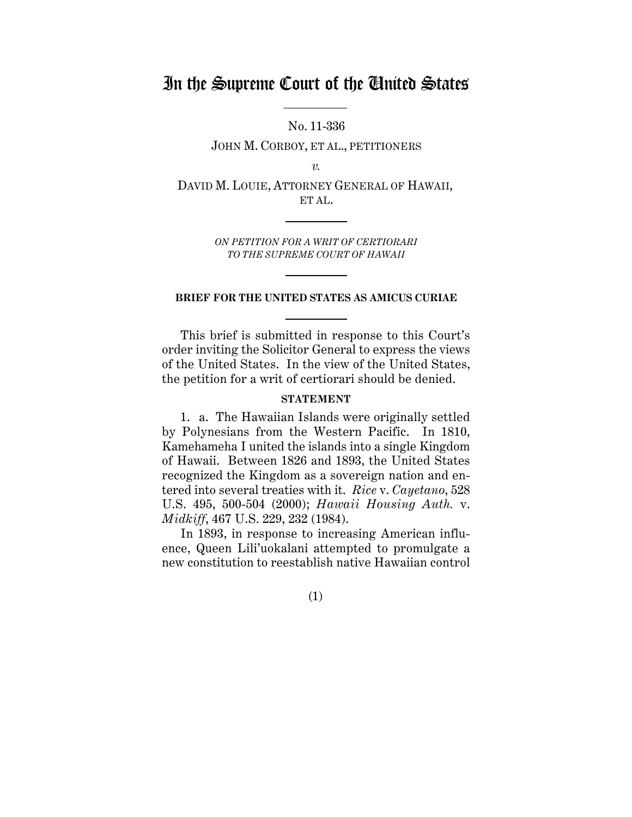## In the Supreme Court of the United States

No. 11-336

JOHN M. CORBOY, ET AL., PETITIONERS

*v.*

DAVID M. LOUIE, ATTORNEY GENERAL OF HAWAII, ET AL.

> *ON PETITION FOR A WRIT OF CERTIORARI TO THE SUPREME COURT OF HAWAII*

#### **BRIEF FOR THE UNITED STATES AS AMICUS CURIAE**

This brief is submitted in response to this Court's order inviting the Solicitor General to express the views of the United States. In the view of the United States, the petition for a writ of certiorari should be denied.

### **STATEMENT**

1. a. The Hawaiian Islands were originally settled by Polynesians from the Western Pacific. In 1810, Kamehameha I united the islands into a single Kingdom of Hawaii. Between 1826 and 1893, the United States recognized the Kingdom as a sovereign nation and entered into several treaties with it. *Rice* v. *Cayetano*, 528 U.S. 495, 500-504 (2000); *Hawaii Housing Auth.* v. *Midkiff*, 467 U.S. 229, 232 (1984).

In 1893, in response to increasing American influence, Queen Lili'uokalani attempted to promulgate a new constitution to reestablish native Hawaiian control

(1)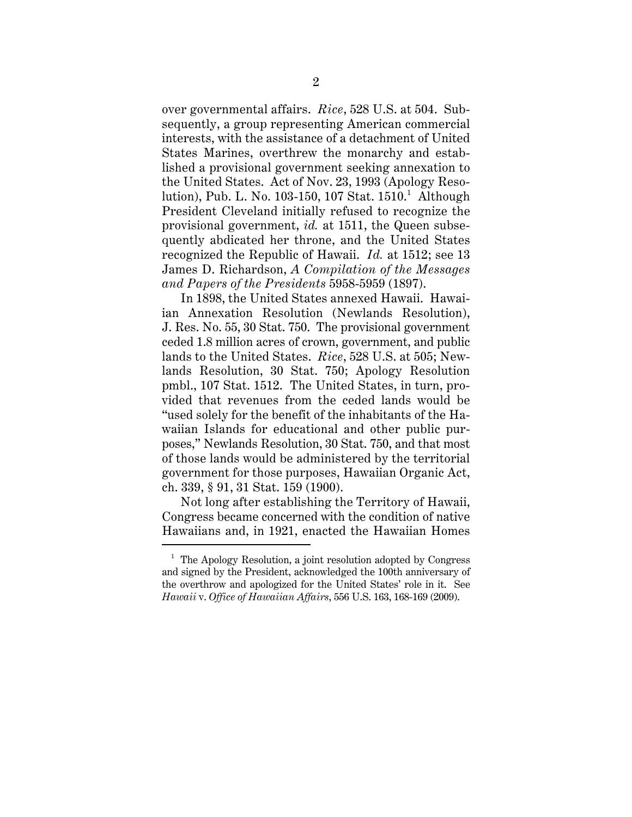over governmental affairs. *Rice*, 528 U.S. at 504. Subsequently, a group representing American commercial interests, with the assistance of a detachment of United States Marines, overthrew the monarchy and established a provisional government seeking annexation to the United States. Act of Nov. 23, 1993 (Apology Resolution), Pub. L. No. 103-150, 107 Stat. 1510.<sup>1</sup> Although President Cleveland initially refused to recognize the provisional government, *id.* at 1511, the Queen subsequently abdicated her throne, and the United States recognized the Republic of Hawaii. *Id.* at 1512; see 13 James D. Richardson, *A Compilation of the Messages and Papers of the Presidents* 5958-5959 (1897).

In 1898, the United States annexed Hawaii. Hawaiian Annexation Resolution (Newlands Resolution), J. Res. No. 55, 30 Stat. 750. The provisional government ceded 1.8 million acres of crown, government, and public lands to the United States. *Rice*, 528 U.S. at 505; Newlands Resolution, 30 Stat. 750; Apology Resolution pmbl., 107 Stat. 1512. The United States, in turn, provided that revenues from the ceded lands would be "used solely for the benefit of the inhabitants of the Hawaiian Islands for educational and other public purposes," Newlands Resolution, 30 Stat. 750, and that most of those lands would be administered by the territorial government for those purposes, Hawaiian Organic Act, ch. 339, § 91, 31 Stat. 159 (1900).

Not long after establishing the Territory of Hawaii, Congress became concerned with the condition of native Hawaiians and, in 1921, enacted the Hawaiian Homes

<sup>&</sup>lt;sup>1</sup> The Apology Resolution, a joint resolution adopted by Congress and signed by the President, acknowledged the 100th anniversary of the overthrow and apologized for the United States' role in it. See *Hawaii* v. *Office of Hawaiian Affairs*, 556 U.S. 163, 168-169 (2009).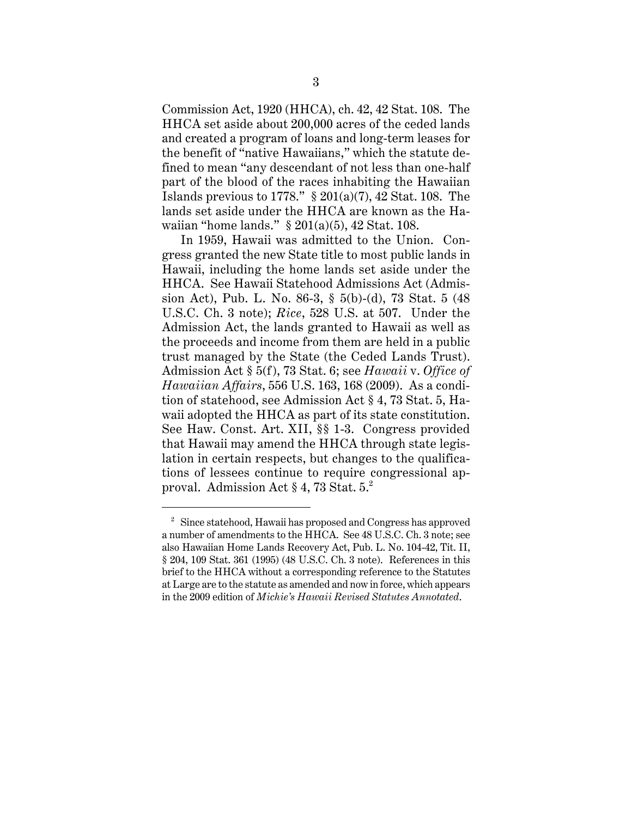Commission Act, 1920 (HHCA), ch. 42, 42 Stat. 108. The HHCA set aside about 200,000 acres of the ceded lands and created a program of loans and long-term leases for the benefit of "native Hawaiians," which the statute defined to mean "any descendant of not less than one-half part of the blood of the races inhabiting the Hawaiian Islands previous to 1778."  $\S 201(a)(7)$ , 42 Stat. 108. The lands set aside under the HHCA are known as the Hawaiian "home lands." § 201(a)(5), 42 Stat. 108.

In 1959, Hawaii was admitted to the Union. Congress granted the new State title to most public lands in Hawaii, including the home lands set aside under the HHCA. See Hawaii Statehood Admissions Act (Admission Act), Pub. L. No. 86-3, § 5(b)-(d), 73 Stat. 5 (48 U.S.C. Ch. 3 note); *Rice*, 528 U.S. at 507. Under the Admission Act, the lands granted to Hawaii as well as the proceeds and income from them are held in a public trust managed by the State (the Ceded Lands Trust). Admission Act § 5(f), 73 Stat. 6; see *Hawaii* v. *Office of Hawaiian Affairs*, 556 U.S. 163, 168 (2009). As a condition of statehood, see Admission Act § 4, 73 Stat. 5, Hawaii adopted the HHCA as part of its state constitution. See Haw. Const. Art. XII, §§ 1-3. Congress provided that Hawaii may amend the HHCA through state legislation in certain respects, but changes to the qualifications of lessees continue to require congressional approval. Admission Act  $\S 4$ , 73 Stat. 5.<sup>2</sup>

<sup>&</sup>lt;sup>2</sup> Since statehood, Hawaii has proposed and Congress has approved a number of amendments to the HHCA. See 48 U.S.C. Ch. 3 note; see also Hawaiian Home Lands Recovery Act, Pub. L. No. 104-42, Tit. II, § 204, 109 Stat. 361 (1995) (48 U.S.C. Ch. 3 note). References in this brief to the HHCA without a corresponding reference to the Statutes at Large are to the statute as amended and now in force, which appears in the 2009 edition of *Michie's Hawaii Revised Statutes Annotated*.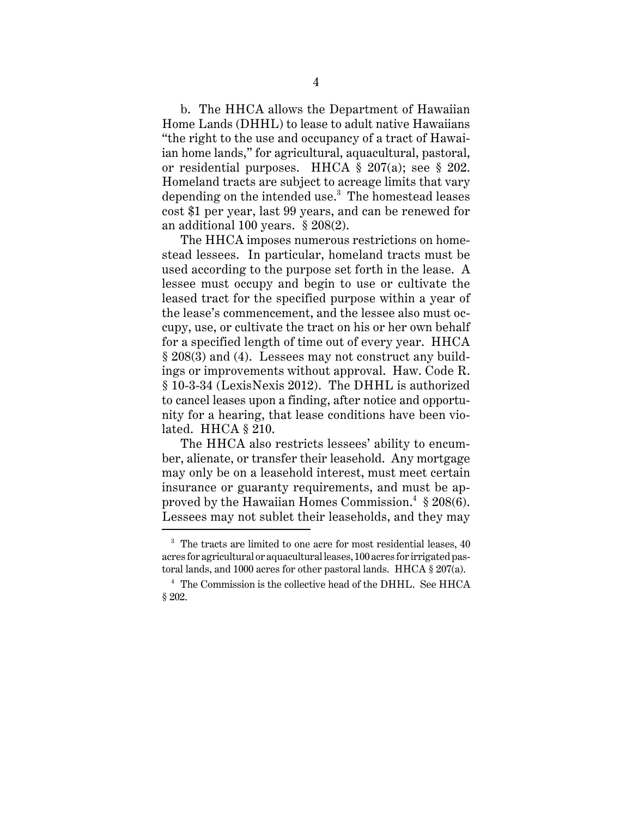b. The HHCA allows the Department of Hawaiian Home Lands (DHHL) to lease to adult native Hawaiians "the right to the use and occupancy of a tract of Hawaiian home lands," for agricultural, aquacultural, pastoral, or residential purposes. HHCA § 207(a); see § 202. Homeland tracts are subject to acreage limits that vary depending on the intended use.<sup>3</sup> The homestead leases cost \$1 per year, last 99 years, and can be renewed for an additional 100 years. § 208(2).

The HHCA imposes numerous restrictions on homestead lessees. In particular, homeland tracts must be used according to the purpose set forth in the lease. A lessee must occupy and begin to use or cultivate the leased tract for the specified purpose within a year of the lease's commencement, and the lessee also must occupy, use, or cultivate the tract on his or her own behalf for a specified length of time out of every year. HHCA § 208(3) and (4). Lessees may not construct any buildings or improvements without approval. Haw. Code R. § 10-3-34 (LexisNexis 2012). The DHHL is authorized to cancel leases upon a finding, after notice and opportunity for a hearing, that lease conditions have been violated. HHCA § 210.

The HHCA also restricts lessees' ability to encumber, alienate, or transfer their leasehold. Any mortgage may only be on a leasehold interest, must meet certain insurance or guaranty requirements, and must be approved by the Hawaiian Homes Commission. $^4$  § 208(6). Lessees may not sublet their leaseholds, and they may

 $3$  The tracts are limited to one acre for most residential leases,  $40$ acres for agricultural or aquacultural leases, 100 acres for irrigated pastoral lands, and 1000 acres for other pastoral lands. HHCA § 207(a).

<sup>4</sup> The Commission is the collective head of the DHHL. See HHCA § 202.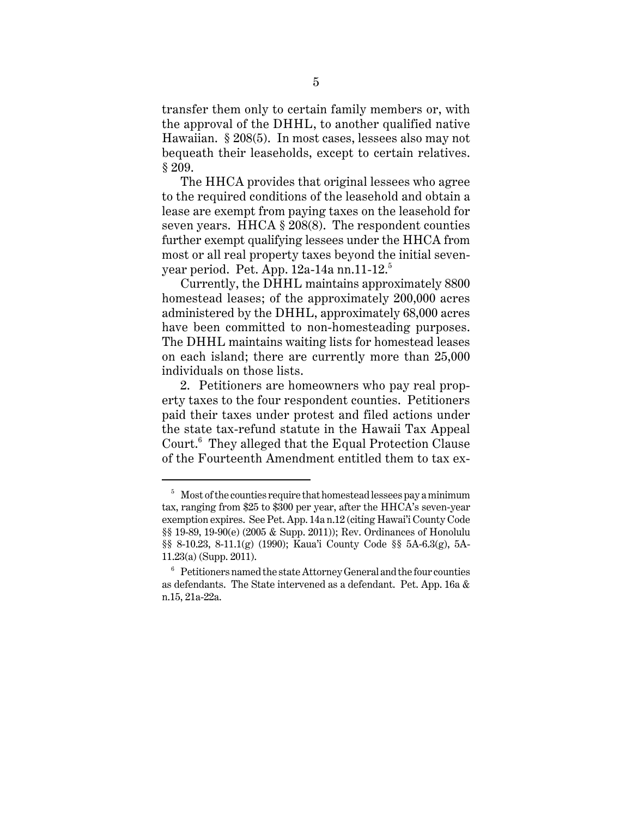transfer them only to certain family members or, with the approval of the DHHL, to another qualified native Hawaiian. § 208(5). In most cases, lessees also may not bequeath their leaseholds, except to certain relatives. § 209.

The HHCA provides that original lessees who agree to the required conditions of the leasehold and obtain a lease are exempt from paying taxes on the leasehold for seven years. HHCA § 208(8). The respondent counties further exempt qualifying lessees under the HHCA from most or all real property taxes beyond the initial sevenyear period. Pet. App.  $12a-14a$  nn.  $11-12$ <sup>5</sup>

Currently, the DHHL maintains approximately 8800 homestead leases; of the approximately 200,000 acres administered by the DHHL, approximately 68,000 acres have been committed to non-homesteading purposes. The DHHL maintains waiting lists for homestead leases on each island; there are currently more than 25,000 individuals on those lists.

2. Petitioners are homeowners who pay real property taxes to the four respondent counties. Petitioners paid their taxes under protest and filed actions under the state tax-refund statute in the Hawaii Tax Appeal Court.<sup>6</sup> They alleged that the Equal Protection Clause of the Fourteenth Amendment entitled them to tax ex-

 $5$  Most of the counties require that homestead lessees pay a minimum tax, ranging from \$25 to \$300 per year, after the HHCA's seven-year exemption expires. See Pet. App. 14a n.12 (citing Hawai'i County Code §§ 19-89, 19-90(e) (2005 & Supp. 2011)); Rev. Ordinances of Honolulu §§ 8-10.23, 8-11.1(g) (1990); Kaua'i County Code §§ 5A-6.3(g), 5A-11.23(a) (Supp. 2011).

 $6<sup>6</sup>$  Petitioners named the state Attorney General and the four counties as defendants. The State intervened as a defendant. Pet. App. 16a & n.15, 21a-22a.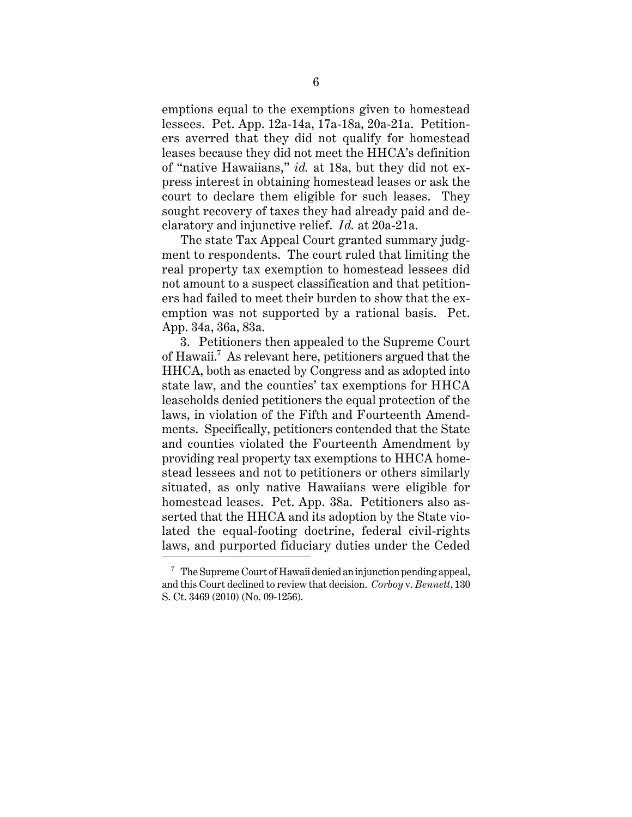emptions equal to the exemptions given to homestead lessees. Pet. App. 12a-14a, 17a-18a, 20a-21a. Petitioners averred that they did not qualify for homestead leases because they did not meet the HHCA's definition of "native Hawaiians," *id.* at 18a, but they did not express interest in obtaining homestead leases or ask the court to declare them eligible for such leases. They sought recovery of taxes they had already paid and declaratory and injunctive relief. *Id.* at 20a-21a.

The state Tax Appeal Court granted summary judgment to respondents. The court ruled that limiting the real property tax exemption to homestead lessees did not amount to a suspect classification and that petitioners had failed to meet their burden to show that the exemption was not supported by a rational basis. Pet. App. 34a, 36a, 83a.

3. Petitioners then appealed to the Supreme Court of Hawaii.<sup>7</sup> As relevant here, petitioners argued that the HHCA, both as enacted by Congress and as adopted into state law, and the counties' tax exemptions for HHCA leaseholds denied petitioners the equal protection of the laws, in violation of the Fifth and Fourteenth Amendments. Specifically, petitioners contended that the State and counties violated the Fourteenth Amendment by providing real property tax exemptions to HHCA homestead lessees and not to petitioners or others similarly situated, as only native Hawaiians were eligible for homestead leases. Pet. App. 38a. Petitioners also asserted that the HHCA and its adoption by the State violated the equal-footing doctrine, federal civil-rights laws, and purported fiduciary duties under the Ceded

 $7$  The Supreme Court of Hawaii denied an injunction pending appeal, and this Court declined to review that decision. *Corboy* v. *Bennett*, 130 S. Ct. 3469 (2010) (No. 09-1256).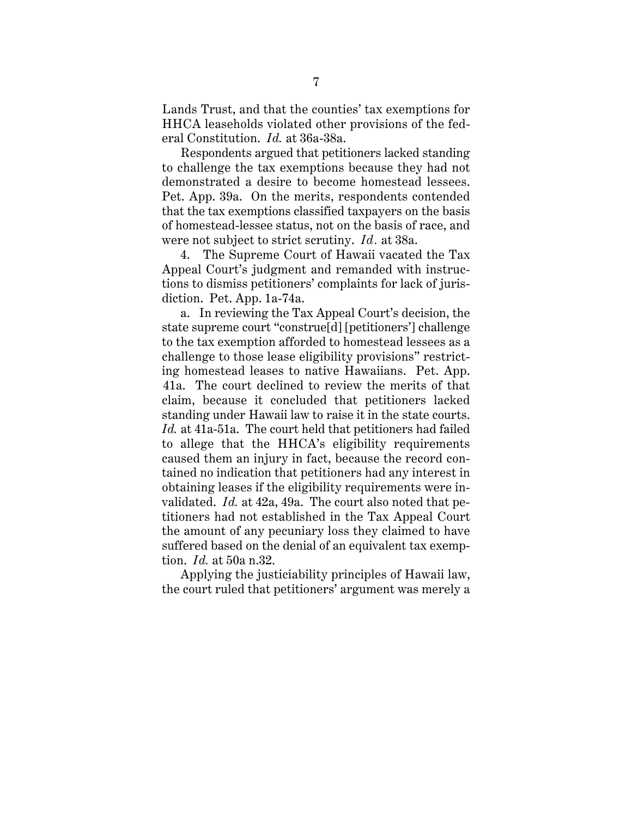Lands Trust, and that the counties' tax exemptions for HHCA leaseholds violated other provisions of the federal Constitution. *Id.* at 36a-38a.

Respondents argued that petitioners lacked standing to challenge the tax exemptions because they had not demonstrated a desire to become homestead lessees. Pet. App. 39a. On the merits, respondents contended that the tax exemptions classified taxpayers on the basis of homestead-lessee status, not on the basis of race, and were not subject to strict scrutiny. *Id.* at 38a.

4. The Supreme Court of Hawaii vacated the Tax Appeal Court's judgment and remanded with instructions to dismiss petitioners' complaints for lack of jurisdiction. Pet. App. 1a-74a.

a. In reviewing the Tax Appeal Court's decision, the state supreme court "construe[d] [petitioners'] challenge to the tax exemption afforded to homestead lessees as a challenge to those lease eligibility provisions" restricting homestead leases to native Hawaiians. Pet. App. 41a. The court declined to review the merits of that claim, because it concluded that petitioners lacked standing under Hawaii law to raise it in the state courts. *Id.* at 41a-51a. The court held that petitioners had failed to allege that the HHCA's eligibility requirements caused them an injury in fact, because the record contained no indication that petitioners had any interest in obtaining leases if the eligibility requirements were invalidated. *Id.* at 42a, 49a. The court also noted that petitioners had not established in the Tax Appeal Court the amount of any pecuniary loss they claimed to have suffered based on the denial of an equivalent tax exemption. *Id.* at 50a n.32.

Applying the justiciability principles of Hawaii law, the court ruled that petitioners' argument was merely a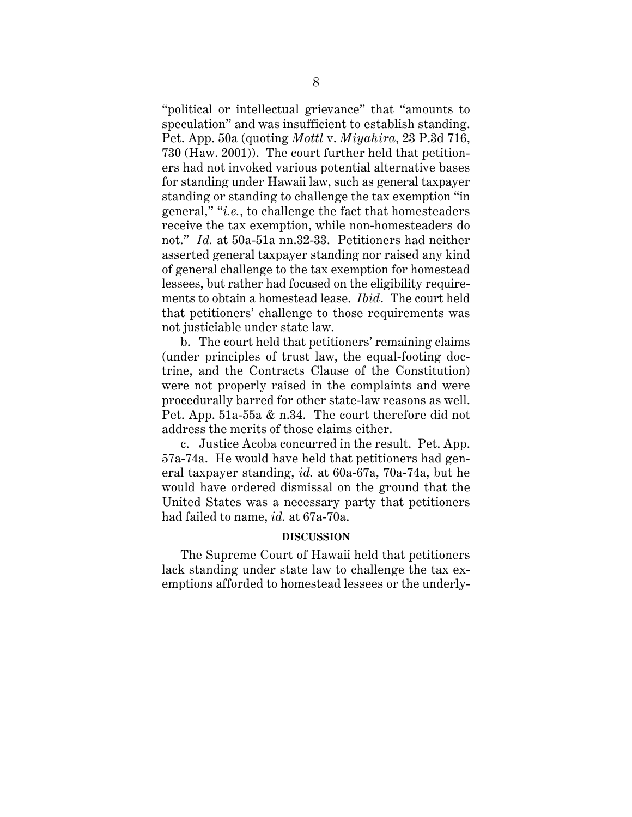"political or intellectual grievance" that "amounts to speculation" and was insufficient to establish standing. Pet. App. 50a (quoting *Mottl* v. *Miyahira*, 23 P.3d 716, 730 (Haw. 2001)). The court further held that petitioners had not invoked various potential alternative bases for standing under Hawaii law, such as general taxpayer standing or standing to challenge the tax exemption "in general," "*i.e.*, to challenge the fact that homesteaders receive the tax exemption, while non-homesteaders do not." *Id.* at 50a-51a nn.32-33. Petitioners had neither asserted general taxpayer standing nor raised any kind of general challenge to the tax exemption for homestead lessees, but rather had focused on the eligibility requirements to obtain a homestead lease. *Ibid.* The court held that petitioners' challenge to those requirements was not justiciable under state law.

b. The court held that petitioners' remaining claims (under principles of trust law, the equal-footing doctrine, and the Contracts Clause of the Constitution) were not properly raised in the complaints and were procedurally barred for other state-law reasons as well. Pet. App. 51a-55a & n.34. The court therefore did not address the merits of those claims either.

c. Justice Acoba concurred in the result. Pet. App. 57a-74a. He would have held that petitioners had general taxpayer standing, *id.* at 60a-67a, 70a-74a, but he would have ordered dismissal on the ground that the United States was a necessary party that petitioners had failed to name, *id.* at 67a-70a.

#### **DISCUSSION**

The Supreme Court of Hawaii held that petitioners lack standing under state law to challenge the tax exemptions afforded to homestead lessees or the underly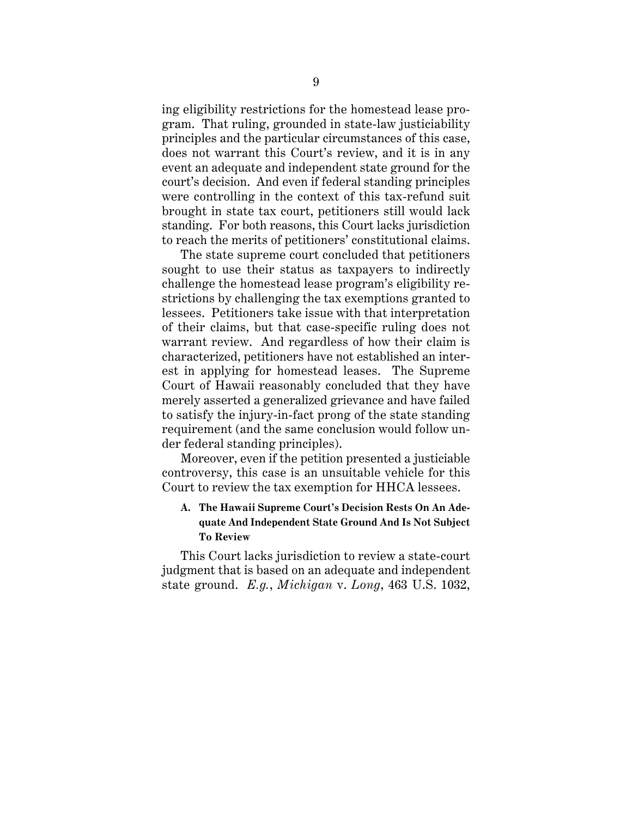ing eligibility restrictions for the homestead lease program. That ruling, grounded in state-law justiciability principles and the particular circumstances of this case, does not warrant this Court's review, and it is in any event an adequate and independent state ground for the court's decision. And even if federal standing principles were controlling in the context of this tax-refund suit brought in state tax court, petitioners still would lack standing. For both reasons, this Court lacks jurisdiction to reach the merits of petitioners' constitutional claims.

The state supreme court concluded that petitioners sought to use their status as taxpayers to indirectly challenge the homestead lease program's eligibility restrictions by challenging the tax exemptions granted to lessees. Petitioners take issue with that interpretation of their claims, but that case-specific ruling does not warrant review. And regardless of how their claim is characterized, petitioners have not established an interest in applying for homestead leases. The Supreme Court of Hawaii reasonably concluded that they have merely asserted a generalized grievance and have failed to satisfy the injury-in-fact prong of the state standing requirement (and the same conclusion would follow under federal standing principles).

Moreover, even if the petition presented a justiciable controversy, this case is an unsuitable vehicle for this Court to review the tax exemption for HHCA lessees.

## **A. The Hawaii Supreme Court's Decision Rests On An Adequate And Independent State Ground And Is Not Subject To Review**

This Court lacks jurisdiction to review a state-court judgment that is based on an adequate and independent state ground. *E.g.*, *Michigan* v. *Long*, 463 U.S. 1032,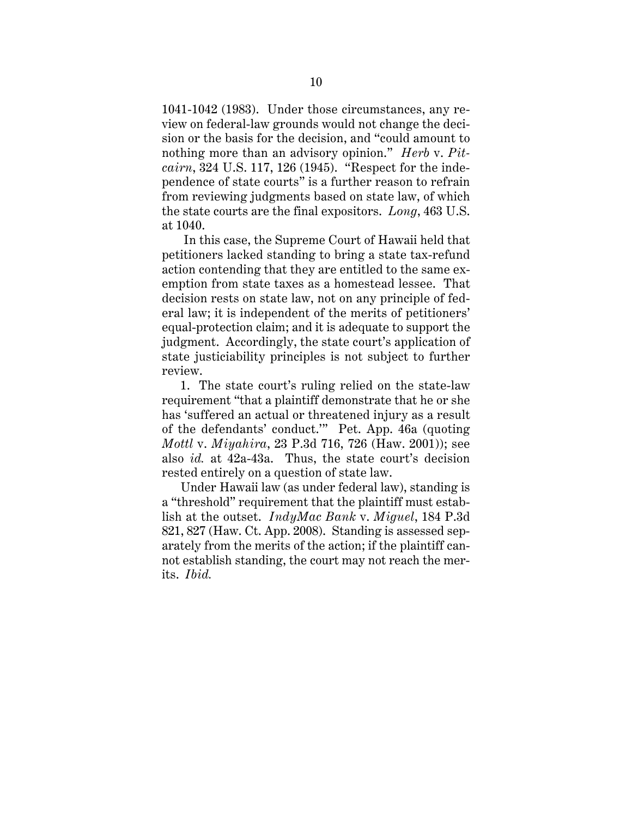1041-1042 (1983). Under those circumstances, any review on federal-law grounds would not change the decision or the basis for the decision, and "could amount to nothing more than an advisory opinion." *Herb* v. *Pitcairn*, 324 U.S. 117, 126 (1945). "Respect for the independence of state courts" is a further reason to refrain from reviewing judgments based on state law, of which the state courts are the final expositors. *Long*, 463 U.S. at 1040.

 In this case, the Supreme Court of Hawaii held that petitioners lacked standing to bring a state tax-refund action contending that they are entitled to the same exemption from state taxes as a homestead lessee. That decision rests on state law, not on any principle of federal law; it is independent of the merits of petitioners' equal-protection claim; and it is adequate to support the judgment. Accordingly, the state court's application of state justiciability principles is not subject to further review.

1. The state court's ruling relied on the state-law requirement "that a plaintiff demonstrate that he or she has 'suffered an actual or threatened injury as a result of the defendants' conduct.'" Pet. App. 46a (quoting *Mottl* v. *Miyahira*, 23 P.3d 716, 726 (Haw. 2001)); see also *id.* at 42a-43a. Thus, the state court's decision rested entirely on a question of state law.

Under Hawaii law (as under federal law), standing is a "threshold" requirement that the plaintiff must establish at the outset. *IndyMac Bank* v. *Miguel*, 184 P.3d 821, 827 (Haw. Ct. App. 2008). Standing is assessed separately from the merits of the action; if the plaintiff cannot establish standing, the court may not reach the merits. *Ibid.*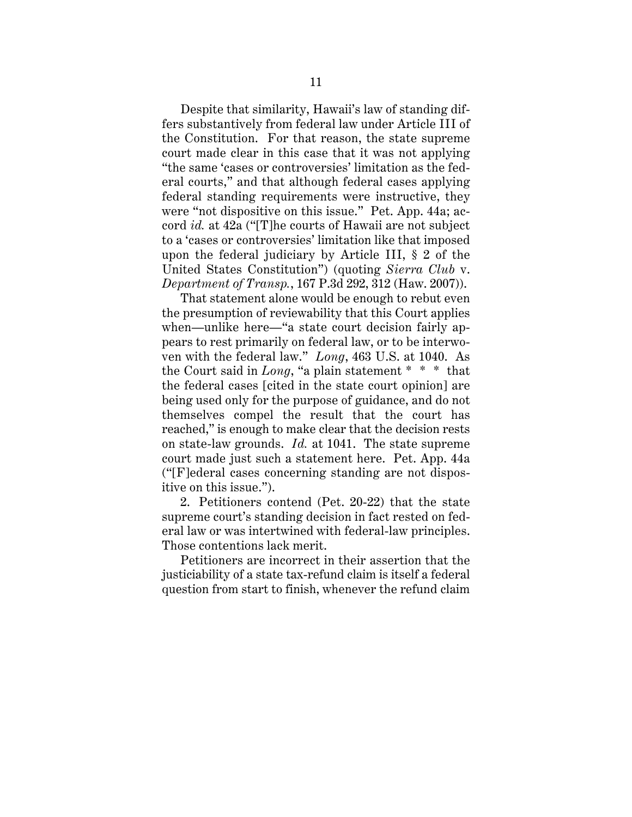Despite that similarity, Hawaii's law of standing differs substantively from federal law under Article III of the Constitution. For that reason, the state supreme court made clear in this case that it was not applying "the same 'cases or controversies' limitation as the federal courts," and that although federal cases applying federal standing requirements were instructive, they were "not dispositive on this issue." Pet. App. 44a; accord *id.* at 42a ("[T]he courts of Hawaii are not subject to a 'cases or controversies' limitation like that imposed upon the federal judiciary by Article III, § 2 of the United States Constitution") (quoting *Sierra Club* v. *Department of Transp.*, 167 P.3d 292, 312 (Haw. 2007)).

That statement alone would be enough to rebut even the presumption of reviewability that this Court applies when—unlike here—"a state court decision fairly appears to rest primarily on federal law, or to be interwoven with the federal law." *Long*, 463 U.S. at 1040. As the Court said in *Long*, "a plain statement \* \* \* that the federal cases [cited in the state court opinion] are being used only for the purpose of guidance, and do not themselves compel the result that the court has reached," is enough to make clear that the decision rests on state-law grounds. *Id.* at 1041. The state supreme court made just such a statement here. Pet. App. 44a ("[F]ederal cases concerning standing are not dispositive on this issue.").

2. Petitioners contend (Pet. 20-22) that the state supreme court's standing decision in fact rested on federal law or was intertwined with federal-law principles. Those contentions lack merit.

Petitioners are incorrect in their assertion that the justiciability of a state tax-refund claim is itself a federal question from start to finish, whenever the refund claim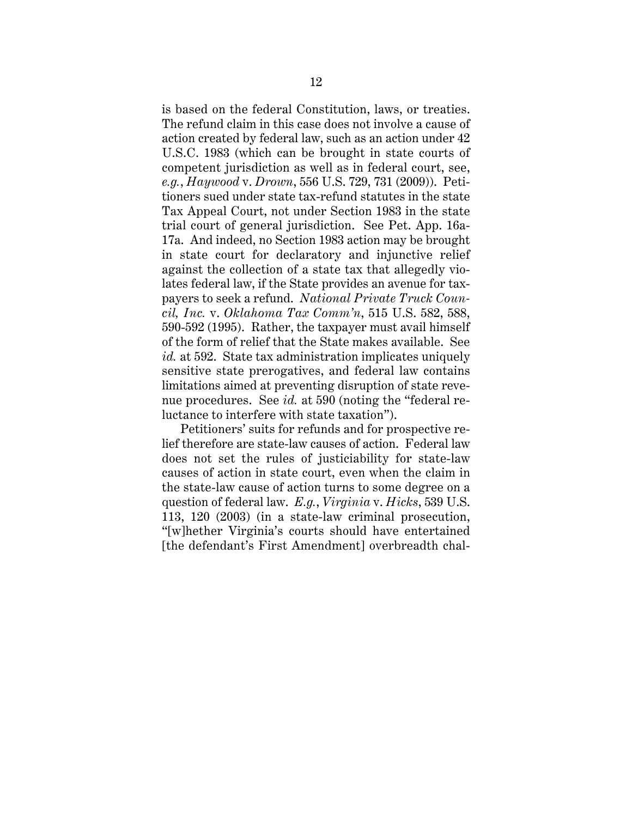is based on the federal Constitution, laws, or treaties. The refund claim in this case does not involve a cause of action created by federal law, such as an action under 42 U.S.C. 1983 (which can be brought in state courts of competent jurisdiction as well as in federal court, see, *e.g.*, *Haywood* v. *Drown*, 556 U.S. 729, 731 (2009)). Petitioners sued under state tax-refund statutes in the state Tax Appeal Court, not under Section 1983 in the state trial court of general jurisdiction. See Pet. App. 16a-17a. And indeed, no Section 1983 action may be brought in state court for declaratory and injunctive relief against the collection of a state tax that allegedly violates federal law, if the State provides an avenue for taxpayers to seek a refund. *National Private Truck Council, Inc.* v. *Oklahoma Tax Comm'n*, 515 U.S. 582, 588, 590-592 (1995). Rather, the taxpayer must avail himself of the form of relief that the State makes available. See *id.* at 592. State tax administration implicates uniquely sensitive state prerogatives, and federal law contains limitations aimed at preventing disruption of state revenue procedures. See *id.* at 590 (noting the "federal reluctance to interfere with state taxation").

Petitioners' suits for refunds and for prospective relief therefore are state-law causes of action. Federal law does not set the rules of justiciability for state-law causes of action in state court, even when the claim in the state-law cause of action turns to some degree on a question of federal law. *E.g.*, *Virginia* v. *Hicks*, 539 U.S. 113, 120 (2003) (in a state-law criminal prosecution, "[w]hether Virginia's courts should have entertained [the defendant's First Amendment] overbreadth chal-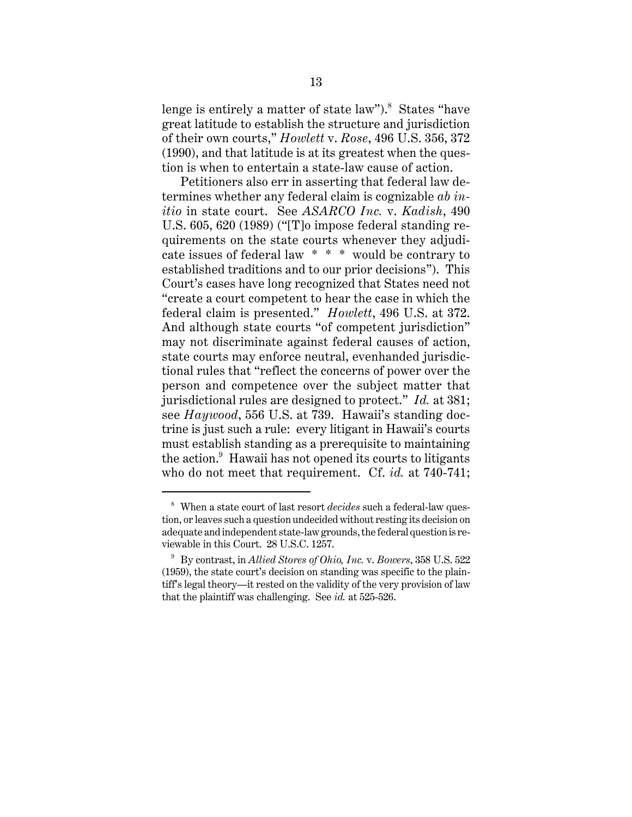lenge is entirely a matter of state law").<sup>8</sup> States "have great latitude to establish the structure and jurisdiction of their own courts," *Howlett* v. *Rose*, 496 U.S. 356, 372 (1990), and that latitude is at its greatest when the question is when to entertain a state-law cause of action.

Petitioners also err in asserting that federal law determines whether any federal claim is cognizable *ab initio* in state court. See *ASARCO Inc.* v. *Kadish*, 490 U.S. 605, 620 (1989) ("[T]o impose federal standing requirements on the state courts whenever they adjudicate issues of federal law \* \* \* would be contrary to established traditions and to our prior decisions"). This Court's cases have long recognized that States need not "create a court competent to hear the case in which the federal claim is presented." *Howlett*, 496 U.S. at 372. And although state courts "of competent jurisdiction" may not discriminate against federal causes of action, state courts may enforce neutral, evenhanded jurisdictional rules that "reflect the concerns of power over the person and competence over the subject matter that jurisdictional rules are designed to protect." *Id.* at 381; see *Haywood*, 556 U.S. at 739. Hawaii's standing doctrine is just such a rule: every litigant in Hawaii's courts must establish standing as a prerequisite to maintaining the action. $^9$  Hawaii has not opened its courts to litigants who do not meet that requirement. Cf. *id.* at 740-741;

<sup>8</sup> When a state court of last resort *decides* such a federal-law question, or leaves such a question undecided without resting its decision on adequate and independent state-law grounds, the federal question is reviewable in this Court. 28 U.S.C. 1257.

<sup>9</sup> By contrast, in *Allied Stores of Ohio, Inc.* v. *Bowers*, 358 U.S. 522 (1959), the state court's decision on standing was specific to the plaintiff's legal theory—it rested on the validity of the very provision of law that the plaintiff was challenging. See *id.* at 525-526.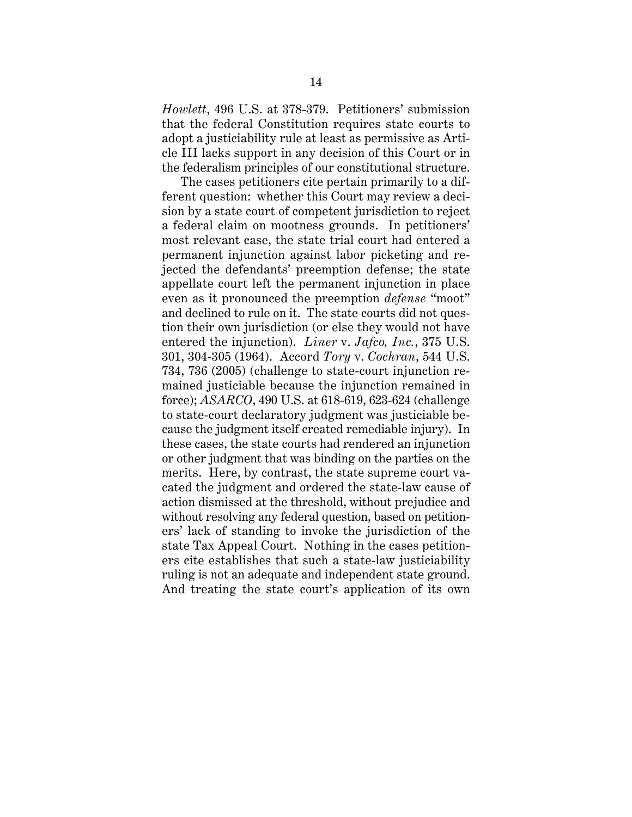*Howlett*, 496 U.S. at 378-379. Petitioners' submission that the federal Constitution requires state courts to adopt a justiciability rule at least as permissive as Article III lacks support in any decision of this Court or in the federalism principles of our constitutional structure.

The cases petitioners cite pertain primarily to a different question: whether this Court may review a decision by a state court of competent jurisdiction to reject a federal claim on mootness grounds. In petitioners' most relevant case, the state trial court had entered a permanent injunction against labor picketing and rejected the defendants' preemption defense; the state appellate court left the permanent injunction in place even as it pronounced the preemption *defense* "moot" and declined to rule on it. The state courts did not question their own jurisdiction (or else they would not have entered the injunction). *Liner* v. *Jafco, Inc.*, 375 U.S. 301, 304-305 (1964). Accord *Tory* v. *Cochran*, 544 U.S. 734, 736 (2005) (challenge to state-court injunction remained justiciable because the injunction remained in force); *ASARCO*, 490 U.S. at 618-619, 623-624 (challenge to state-court declaratory judgment was justiciable because the judgment itself created remediable injury). In these cases, the state courts had rendered an injunction or other judgment that was binding on the parties on the merits. Here, by contrast, the state supreme court vacated the judgment and ordered the state-law cause of action dismissed at the threshold, without prejudice and without resolving any federal question, based on petitioners' lack of standing to invoke the jurisdiction of the state Tax Appeal Court. Nothing in the cases petitioners cite establishes that such a state-law justiciability ruling is not an adequate and independent state ground. And treating the state court's application of its own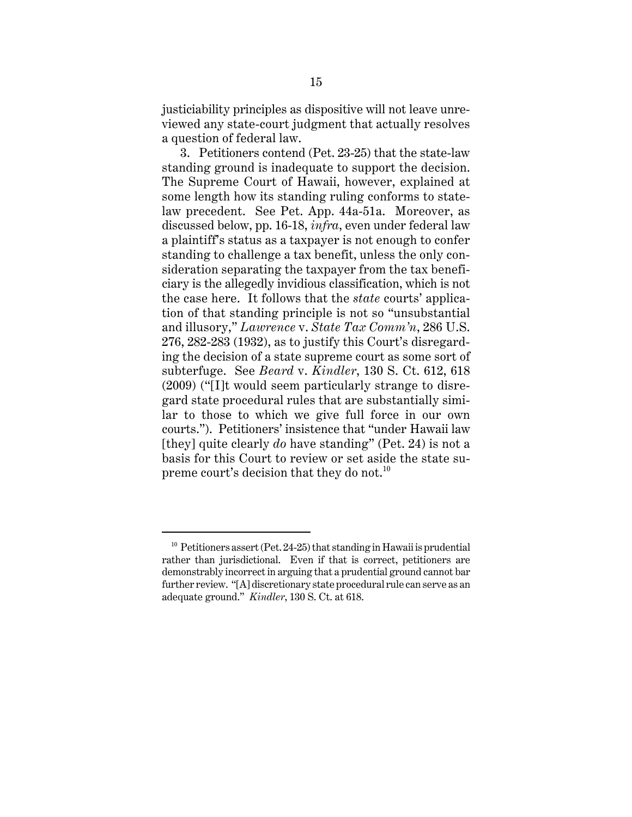justiciability principles as dispositive will not leave unreviewed any state-court judgment that actually resolves a question of federal law.

3. Petitioners contend (Pet. 23-25) that the state-law standing ground is inadequate to support the decision. The Supreme Court of Hawaii, however, explained at some length how its standing ruling conforms to statelaw precedent. See Pet. App. 44a-51a. Moreover, as discussed below, pp. 16-18, *infra*, even under federal law a plaintiff's status as a taxpayer is not enough to confer standing to challenge a tax benefit, unless the only consideration separating the taxpayer from the tax beneficiary is the allegedly invidious classification, which is not the case here. It follows that the *state* courts' application of that standing principle is not so "unsubstantial and illusory," *Lawrence* v. *State Tax Comm'n*, 286 U.S. 276, 282-283 (1932), as to justify this Court's disregarding the decision of a state supreme court as some sort of subterfuge. See *Beard* v. *Kindler*, 130 S. Ct. 612, 618 (2009) ("[I]t would seem particularly strange to disregard state procedural rules that are substantially similar to those to which we give full force in our own courts."). Petitioners' insistence that "under Hawaii law [they] quite clearly *do* have standing" (Pet. 24) is not a basis for this Court to review or set aside the state supreme court's decision that they do not.<sup>10</sup>

 $10$  Petitioners assert (Pet. 24-25) that standing in Hawaii is prudential rather than jurisdictional. Even if that is correct, petitioners are demonstrably incorrect in arguing that a prudential ground cannot bar further review. "[A] discretionary state procedural rule can serve as an adequate ground." *Kindler*, 130 S. Ct. at 618.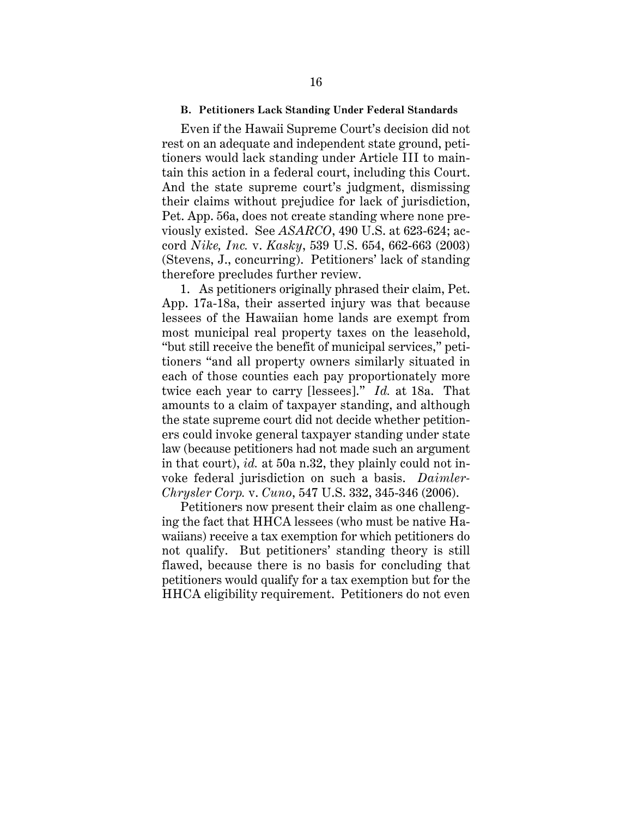#### **B. Petitioners Lack Standing Under Federal Standards**

Even if the Hawaii Supreme Court's decision did not rest on an adequate and independent state ground, petitioners would lack standing under Article III to maintain this action in a federal court, including this Court. And the state supreme court's judgment, dismissing their claims without prejudice for lack of jurisdiction, Pet. App. 56a, does not create standing where none previously existed. See *ASARCO*, 490 U.S. at 623-624; accord *Nike, Inc.* v. *Kasky*, 539 U.S. 654, 662-663 (2003) (Stevens, J., concurring). Petitioners' lack of standing therefore precludes further review.

1. As petitioners originally phrased their claim, Pet. App. 17a-18a, their asserted injury was that because lessees of the Hawaiian home lands are exempt from most municipal real property taxes on the leasehold, "but still receive the benefit of municipal services," petitioners "and all property owners similarly situated in each of those counties each pay proportionately more twice each year to carry [lessees]." *Id.* at 18a. That amounts to a claim of taxpayer standing, and although the state supreme court did not decide whether petitioners could invoke general taxpayer standing under state law (because petitioners had not made such an argument in that court), *id.* at 50a n.32, they plainly could not invoke federal jurisdiction on such a basis. *Daimler-Chrysler Corp.* v. *Cuno*, 547 U.S. 332, 345-346 (2006).

Petitioners now present their claim as one challenging the fact that HHCA lessees (who must be native Hawaiians) receive a tax exemption for which petitioners do not qualify. But petitioners' standing theory is still flawed, because there is no basis for concluding that petitioners would qualify for a tax exemption but for the HHCA eligibility requirement. Petitioners do not even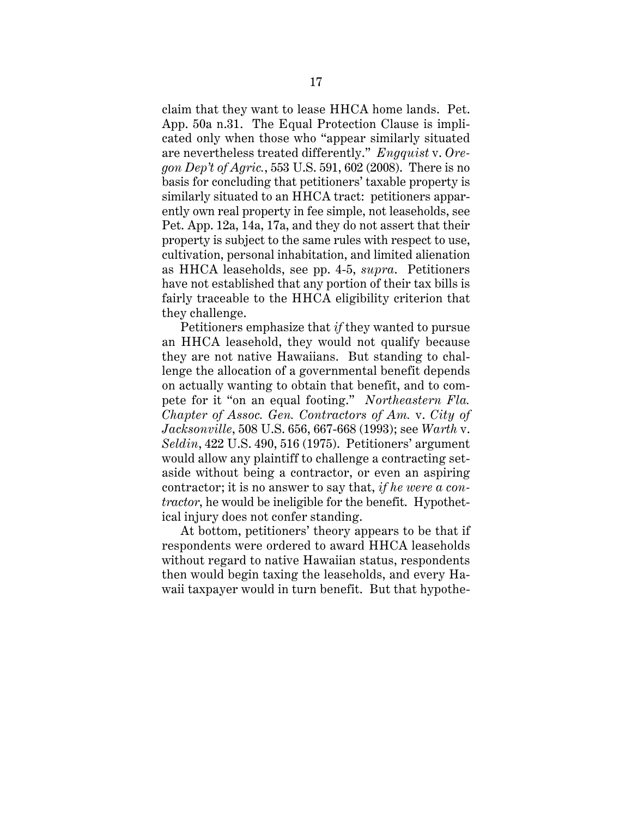claim that they want to lease HHCA home lands. Pet. App. 50a n.31. The Equal Protection Clause is implicated only when those who "appear similarly situated are nevertheless treated differently." *Engquist* v. *Oregon Dep't of Agric.*, 553 U.S. 591, 602 (2008). There is no basis for concluding that petitioners' taxable property is similarly situated to an HHCA tract: petitioners apparently own real property in fee simple, not leaseholds, see Pet. App. 12a, 14a, 17a, and they do not assert that their property is subject to the same rules with respect to use, cultivation, personal inhabitation, and limited alienation as HHCA leaseholds, see pp. 4-5, *supra*. Petitioners have not established that any portion of their tax bills is fairly traceable to the HHCA eligibility criterion that they challenge.

Petitioners emphasize that *if* they wanted to pursue an HHCA leasehold, they would not qualify because they are not native Hawaiians. But standing to challenge the allocation of a governmental benefit depends on actually wanting to obtain that benefit, and to compete for it "on an equal footing." *Northeastern Fla. Chapter of Assoc. Gen. Contractors of Am.* v. *City of Jacksonville*, 508 U.S. 656, 667-668 (1993); see *Warth* v. *Seldin*, 422 U.S. 490, 516 (1975). Petitioners' argument would allow any plaintiff to challenge a contracting setaside without being a contractor, or even an aspiring contractor; it is no answer to say that, *if he were a contractor*, he would be ineligible for the benefit. Hypothetical injury does not confer standing.

At bottom, petitioners' theory appears to be that if respondents were ordered to award HHCA leaseholds without regard to native Hawaiian status, respondents then would begin taxing the leaseholds, and every Hawaii taxpayer would in turn benefit. But that hypothe-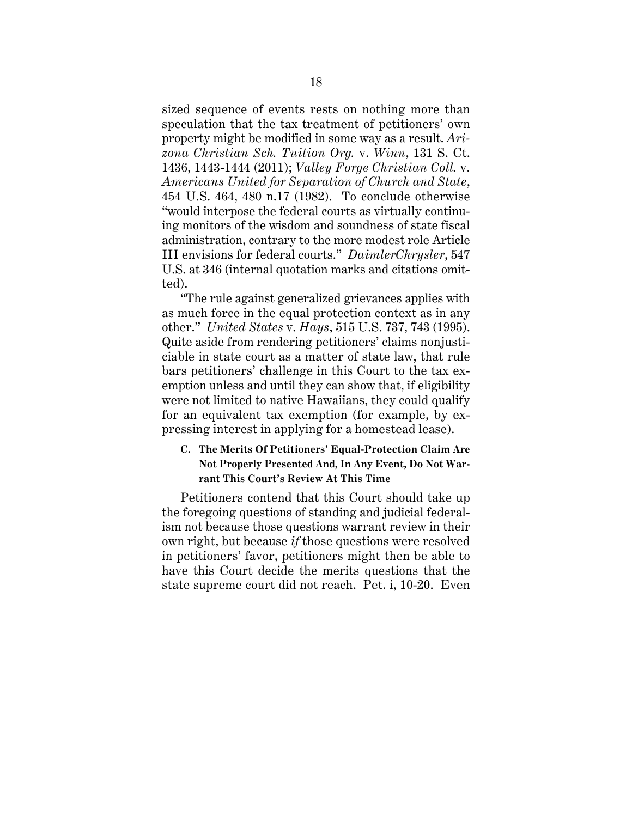sized sequence of events rests on nothing more than speculation that the tax treatment of petitioners' own property might be modified in some way as a result. *Arizona Christian Sch. Tuition Org.* v. *Winn*, 131 S. Ct. 1436, 1443-1444 (2011); *Valley Forge Christian Coll.* v. *Americans United for Separation of Church and State*, 454 U.S. 464, 480 n.17 (1982). To conclude otherwise "would interpose the federal courts as virtually continuing monitors of the wisdom and soundness of state fiscal administration, contrary to the more modest role Article III envisions for federal courts." *DaimlerChrysler*, 547 U.S. at 346 (internal quotation marks and citations omitted).

"The rule against generalized grievances applies with as much force in the equal protection context as in any other." *United States* v. *Hays*, 515 U.S. 737, 743 (1995). Quite aside from rendering petitioners' claims nonjusticiable in state court as a matter of state law, that rule bars petitioners' challenge in this Court to the tax exemption unless and until they can show that, if eligibility were not limited to native Hawaiians, they could qualify for an equivalent tax exemption (for example, by expressing interest in applying for a homestead lease).

## **C. The Merits Of Petitioners' Equal-Protection Claim Are Not Properly Presented And, In Any Event, Do Not Warrant This Court's Review At This Time**

Petitioners contend that this Court should take up the foregoing questions of standing and judicial federalism not because those questions warrant review in their own right, but because *if* those questions were resolved in petitioners' favor, petitioners might then be able to have this Court decide the merits questions that the state supreme court did not reach. Pet. i, 10-20. Even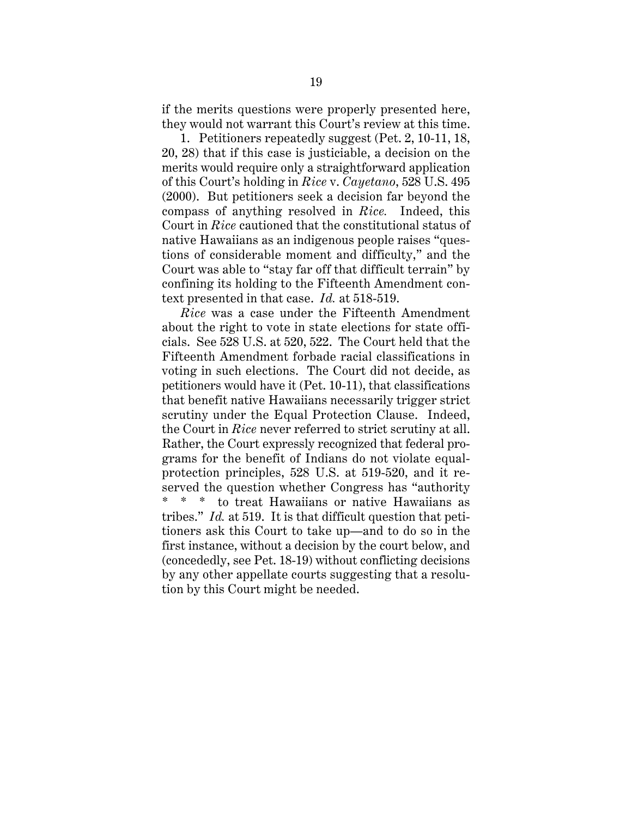if the merits questions were properly presented here, they would not warrant this Court's review at this time.

1. Petitioners repeatedly suggest (Pet. 2, 10-11, 18, 20, 28) that if this case is justiciable, a decision on the merits would require only a straightforward application of this Court's holding in *Rice* v. *Cayetano*, 528 U.S. 495 (2000). But petitioners seek a decision far beyond the compass of anything resolved in *Rice.* Indeed, this Court in *Rice* cautioned that the constitutional status of native Hawaiians as an indigenous people raises "questions of considerable moment and difficulty," and the Court was able to "stay far off that difficult terrain" by confining its holding to the Fifteenth Amendment context presented in that case. *Id.* at 518-519.

*Rice* was a case under the Fifteenth Amendment about the right to vote in state elections for state officials. See 528 U.S. at 520, 522. The Court held that the Fifteenth Amendment forbade racial classifications in voting in such elections. The Court did not decide, as petitioners would have it (Pet. 10-11), that classifications that benefit native Hawaiians necessarily trigger strict scrutiny under the Equal Protection Clause. Indeed, the Court in *Rice* never referred to strict scrutiny at all. Rather, the Court expressly recognized that federal programs for the benefit of Indians do not violate equalprotection principles, 528 U.S. at 519-520, and it reserved the question whether Congress has "authority \* \* \* to treat Hawaiians or native Hawaiians as tribes." *Id.* at 519. It is that difficult question that petitioners ask this Court to take up—and to do so in the first instance, without a decision by the court below, and (concededly, see Pet. 18-19) without conflicting decisions by any other appellate courts suggesting that a resolution by this Court might be needed.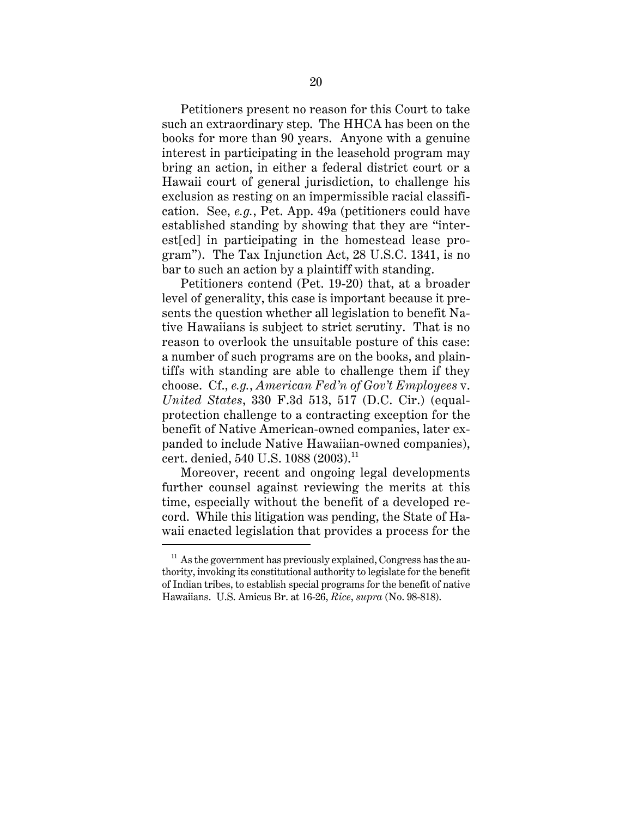Petitioners present no reason for this Court to take such an extraordinary step. The HHCA has been on the books for more than 90 years. Anyone with a genuine interest in participating in the leasehold program may bring an action, in either a federal district court or a Hawaii court of general jurisdiction, to challenge his exclusion as resting on an impermissible racial classification. See, *e.g.*, Pet. App. 49a (petitioners could have established standing by showing that they are "interest[ed] in participating in the homestead lease program"). The Tax Injunction Act, 28 U.S.C. 1341, is no bar to such an action by a plaintiff with standing.

Petitioners contend (Pet. 19-20) that, at a broader level of generality, this case is important because it presents the question whether all legislation to benefit Native Hawaiians is subject to strict scrutiny. That is no reason to overlook the unsuitable posture of this case: a number of such programs are on the books, and plaintiffs with standing are able to challenge them if they choose. Cf., *e.g.*, *American Fed'n of Gov't Employees* v. *United States*, 330 F.3d 513, 517 (D.C. Cir.) (equalprotection challenge to a contracting exception for the benefit of Native American-owned companies, later expanded to include Native Hawaiian-owned companies), cert. denied, 540 U.S. 1088 (2003).<sup>11</sup>

Moreover, recent and ongoing legal developments further counsel against reviewing the merits at this time, especially without the benefit of a developed record. While this litigation was pending, the State of Hawaii enacted legislation that provides a process for the

 $11$  As the government has previously explained, Congress has the authority, invoking its constitutional authority to legislate for the benefit of Indian tribes, to establish special programs for the benefit of native Hawaiians. U.S. Amicus Br. at 16-26, *Rice*, *supra* (No. 98-818).